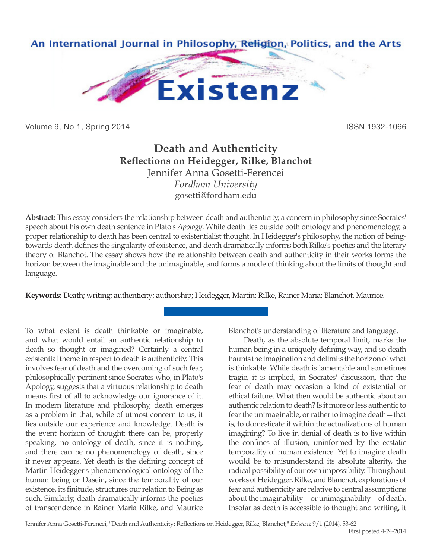

Volume 9, No 1, Spring 2014 **ISSN 1932-1066** 

# **Death and Authenticity Reflections on Heidegger, Rilke, Blanchot** Jennifer Anna Gosetti-Ferencei *Fordham University* gosetti@fordham.edu

**Abstract:** This essay considers the relationship between death and authenticity, a concern in philosophy since Socrates' speech about his own death sentence in Plato's *Apology*. While death lies outside both ontology and phenomenology, a proper relationship to death has been central to existentialist thought. In Heidegger's philosophy, the notion of beingtowards-death defines the singularity of existence, and death dramatically informs both Rilke's poetics and the literary theory of Blanchot. The essay shows how the relationship between death and authenticity in their works forms the horizon between the imaginable and the unimaginable, and forms a mode of thinking about the limits of thought and language.

**Keywords:** Death; writing; authenticity; authorship; Heidegger, Martin; Rilke, Rainer Maria; Blanchot, Maurice.

To what extent is death thinkable or imaginable, and what would entail an authentic relationship to death so thought or imagined? Certainly a central existential theme in respect to death is authenticity. This involves fear of death and the overcoming of such fear, philosophically pertinent since Socrates who, in Plato's Apology, suggests that a virtuous relationship to death means first of all to acknowledge our ignorance of it. In modern literature and philosophy, death emerges as a problem in that, while of utmost concern to us, it lies outside our experience and knowledge. Death is the event horizon of thought: there can be, properly speaking, no ontology of death, since it is nothing, and there can be no phenomenology of death, since it never appears. Yet death is the defining concept of Martin Heidegger's phenomenological ontology of the human being or Dasein, since the temporality of our existence, its finitude, structures our relation to Being as such. Similarly, death dramatically informs the poetics of transcendence in Rainer Maria Rilke, and Maurice

Blanchot's understanding of literature and language.

Death, as the absolute temporal limit, marks the human being in a uniquely defining way, and so death haunts the imagination and delimits the horizon of what is thinkable. While death is lamentable and sometimes tragic, it is implied, in Socrates' discussion, that the fear of death may occasion a kind of existential or ethical failure. What then would be authentic about an authentic relation to death? Is it more or less authentic to fear the unimaginable, or rather to imagine death—that is, to domesticate it within the actualizations of human imagining? To live in denial of death is to live within the confines of illusion, uninformed by the ecstatic temporality of human existence. Yet to imagine death would be to misunderstand its absolute alterity, the radical possibility of our own impossibility. Throughout works of Heidegger, Rilke, and Blanchot, explorations of fear and authenticity are relative to central assumptions about the imaginability—or unimaginability—of death. Insofar as death is accessible to thought and writing, it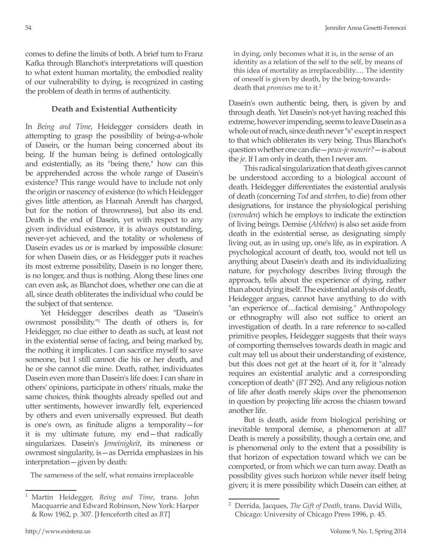comes to define the limits of both. A brief turn to Franz Kafka through Blanchot's interpretations will question to what extent human mortality, the embodied reality of our vulnerability to dying, is recognized in casting the problem of death in terms of authenticity.

### **Death and Existential Authenticity**

In *Being and Time*, Heidegger considers death in attempting to grasp the possibility of being-a-whole of Dasein, or the human being concerned about its being. If the human being is defined ontologically and existentially, as its "being there," how can this be apprehended across the whole range of Dasein's existence? This range would have to include not only the origin or nascency of existence (to which Heidegger gives little attention, as Hannah Arendt has charged, but for the notion of thrownness), but also its end. Death is the end of Dasein, yet with respect to any given individual existence, it is always outstanding, never-yet achieved, and the totality or wholeness of Dasein evades us or is marked by impossible closure: for when Dasein dies, or as Heidegger puts it reaches its most extreme possibility, Dasein is no longer there, is no longer, and thus is nothing. Along these lines one can even ask, as Blanchot does, whether one can die at all, since death obliterates the individual who could be the subject of that sentence.

Yet Heidegger describes death as "Dasein's ownmost possibility."1 The death of others is, for Heidegger, no clue either to death as such, at least not in the existential sense of facing, and being marked by, the nothing it implicates. I can sacrifice myself to save someone, but I still cannot die his or her death, and he or she cannot die mine. Death, rather, individuates Dasein even more than Dasein's life does: I can share in others' opinions, participate in others' rituals, make the same choices, think thoughts already spelled out and utter sentiments, however inwardly felt, experienced by others and even universally expressed. But death is one's own, as finitude aligns a temporality—for it is my ultimate future, my end—that radically singularizes. Dasein's *Jemeinigkeit*, its mineness or ownmost singularity, is—as Derrida emphasizes in his interpretation—given by death:

The sameness of the self, what remains irreplaceable

in dying, only becomes what it is, in the sense of an identity as a relation of the self to the self, by means of this idea of mortality as irreplaceability.… The identity of oneself is given by death, by the being-towardsdeath that *promises* me to it.2

Dasein's own authentic being, then, is given by and through death. Yet Dasein's not-yet having reached this extreme, however impending, seems to leave Dasein as a whole out of reach, since death never "s" except in respect to that which obliterates its very being. Thus Blanchot's question whether one can die—*peux-je mourir?*—is about the *je*. If I am only in death, then I never am.

This radical singularization that death gives cannot be understood according to a biological account of death. Heidegger differentiates the existential analysis of death (concerning *Tod* and *sterben*, to die) from other designations, for instance the physiological perishing (*verenden*) which he employs to indicate the extinction of living beings. Demise (*Ableben*) is also set aside from death in the existential sense, as designating simply living out, as in using up, one's life, as in expiration. A psychological account of death, too, would not tell us anything about Dasein's death and its individualizing nature, for psychology describes living through the approach, tells about the experience of dying, rather than about dying itself. The existential analysis of death, Heidegger argues, cannot have anything to do with "an experience of…factical demising." Anthropology or ethnography will also not suffice to orient an investigation of death. In a rare reference to so-called primitive peoples, Heidegger suggests that their ways of comporting themselves towards death in magic and cult may tell us about their understanding of existence, but this does not get at the heart of it, for it "already requires an existential analytic and a corresponding conception of death" (*BT* 292). And any religious notion of life after death merely skips over the phenomenon in question by projecting life across the chiasm toward another life.

But is death, aside from biological perishing or inevitable temporal demise, a phenomenon at all? Death is merely a possibility, though a certain one, and is phenomenal only to the extent that a possibility is that horizon of expectation toward which we can be comported, or from which we can turn away. Death as possibility gives such horizon while never itself being given; it is mere possibility which Dasein can either, at

<sup>1</sup> Martin Heidegger, *Being and Time*, trans. John Macquarrie and Edward Robinson, New York: Harper & Row 1962, p. 307. [Henceforth cited as *BT*]

<sup>2</sup> Derrida, Jacques, *The Gift of Death*, trans. David Wills, Chicago: University of Chicago Press 1996, p. 45.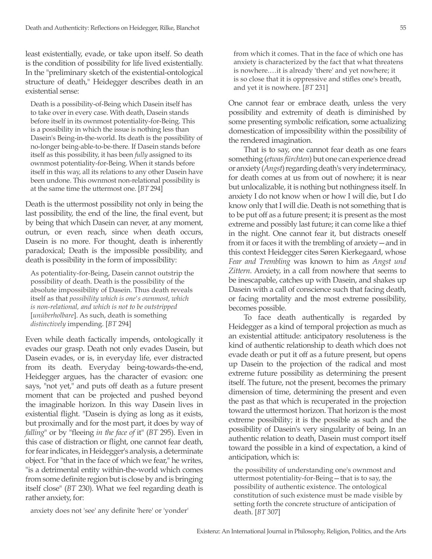least existentially, evade, or take upon itself. So death is the condition of possibility for life lived existentially. In the "preliminary sketch of the existential-ontological structure of death," Heidegger describes death in an existential sense:

Death is a possibility-of-Being which Dasein itself has to take over in every case. With death, Dasein stands before itself in its ownmost potentiality-for-Being. This is a possibility in which the issue is nothing less than Dasein's Being-in-the-world. Its death is the possibility of no-longer being-able-to-be-there. If Dasein stands before itself as this possibility, it has been *fully* assigned to its ownmost potentiality-for-Being. When it stands before itself in this way, all its relations to any other Dasein have been undone. This ownmost non-relational possibility is at the same time the uttermost one. [*BT* 294]

Death is the uttermost possibility not only in being the last possibility, the end of the line, the final event, but by being that which Dasein can never, at any moment, outrun, or even reach, since when death occurs, Dasein is no more. For thought, death is inherently paradoxical; Death is the impossible possibility, and death is possibility in the form of impossibility:

As potentiality-for-Being, Dasein cannot outstrip the possibility of death. Death is the possibility of the absolute impossibility of Dasein. Thus death reveals itself as that *possibility which is one's ownmost, which is non-relational, and which is not to be outstripped* [*unüberholbare*]. As such, death is something *distinctively* impending. [*BT* 294]

Even while death factically impends, ontologically it evades our grasp. Death not only evades Dasein, but Dasein evades, or is, in everyday life, ever distracted from its death. Everyday being-towards-the-end, Heidegger argues, has the character of evasion: one says, "not yet," and puts off death as a future present moment that can be projected and pushed beyond the imaginable horizon. In this way Dasein lives in existential flight. "Dasein is dying as long as it exists, but proximally and for the most part, it does by way of *falling*" or by "fleeing *in the face of* it" (*BT* 295). Even in this case of distraction or flight, one cannot fear death, for fear indicates, in Heidegger's analysis, a determinate object. For "that in the face of which we fear," he writes, "is a detrimental entity within-the-world which comes from some definite region but is close by and is bringing itself close" (*BT* 230). What we feel regarding death is rather anxiety, for:

from which it comes. That in the face of which one has anxiety is characterized by the fact that what threatens is nowhere.…it is already 'there' and yet nowhere; it is so close that it is oppressive and stifles one's breath, and yet it is nowhere. [*BT* 231]

One cannot fear or embrace death, unless the very possibility and extremity of death is diminished by some presenting symbolic reification, some actualizing domestication of impossibility within the possibility of the rendered imagination.

That is to say, one cannot fear death as one fears something (*etwas fürchten*) but one can experience dread or anxiety (*Angst*) regarding death's very indeterminacy, for death comes at us from out of nowhere; it is near but unlocalizable, it is nothing but nothingness itself. In anxiety I do not know when or how I will die, but I do know only that I will die. Death is not something that is to be put off as a future present; it is present as the most extreme and possibly last future; it can come like a thief in the night. One cannot fear it, but distracts oneself from it or faces it with the trembling of anxiety—and in this context Heidegger cites Søren Kierkegaard, whose *Fear and Trembling* was known to him as *Angst und Zittern*. Anxiety, in a call from nowhere that seems to be inescapable, catches up with Dasein, and shakes up Dasein with a call of conscience such that facing death, or facing mortality and the most extreme possibility, becomes possible.

To face death authentically is regarded by Heidegger as a kind of temporal projection as much as an existential attitude: anticipatory resoluteness is the kind of authentic relationship to death which does not evade death or put it off as a future present, but opens up Dasein to the projection of the radical and most extreme future possibility as determining the present itself. The future, not the present, becomes the primary dimension of time, determining the present and even the past as that which is recuperated in the projection toward the uttermost horizon. That horizon is the most extreme possibility; it is the possible as such and the possibility of Dasein's very singularity of being. In an authentic relation to death, Dasein must comport itself toward the possible in a kind of expectation, a kind of anticipation, which is:

the possibility of understanding one's ownmost and uttermost potentiality-for-Being—that is to say, the possibility of authentic existence. The ontological constitution of such existence must be made visible by setting forth the concrete structure of anticipation of death. [*BT* 307]

anxiety does not 'see' any definite 'here' or 'yonder'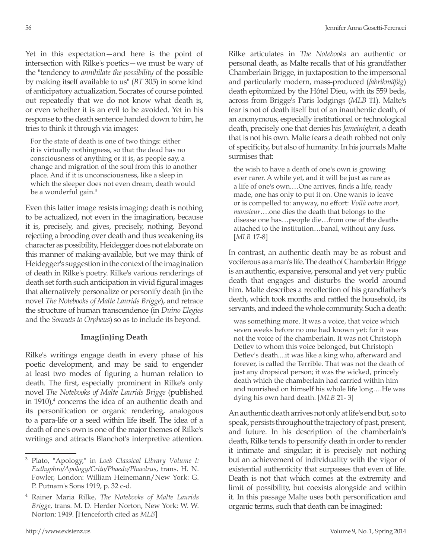Yet in this expectation—and here is the point of intersection with Rilke's poetics—we must be wary of the "tendency to *annihilate the possibility* of the possible by making itself available to us" (*BT* 305) in some kind of anticipatory actualization. Socrates of course pointed out repeatedly that we do not know what death is, or even whether it is an evil to be avoided. Yet in his response to the death sentence handed down to him, he tries to think it through via images:

For the state of death is one of two things: either it is virtually nothingness, so that the dead has no consciousness of anything or it is, as people say, a change and migration of the soul from this to another place. And if it is unconsciousness, like a sleep in which the sleeper does not even dream, death would be a wonderful gain.<sup>3</sup>

Even this latter image resists imaging: death is nothing to be actualized, not even in the imagination, because it is, precisely, and gives, precisely, nothing. Beyond rejecting a brooding over death and thus weakening its character as possibility, Heidegger does not elaborate on this manner of making-available, but we may think of Heidegger's suggestion in the context of the imagination of death in Rilke's poetry. Rilke's various renderings of death set forth such anticipation in vivid figural images that alternatively personalize or personify death (in the novel *The Notebooks of Malte Laurids Brigge*), and retrace the structure of human transcendence (in *Duino Elegies* and the *Sonnets to Orpheus*) so as to include its beyond.

## **Imag(in)ing Death**

Rilke's writings engage death in every phase of his poetic development, and may be said to engender at least two modes of figuring a human relation to death. The first, especially prominent in Rilke's only novel *The Notebooks of Malte Laurids Brigge* (published in  $1910$ , $4$  concerns the idea of an authentic death and its personification or organic rendering, analogous to a para-life or a seed within life itself. The idea of a death of one's own is one of the major themes of Rilke's writings and attracts Blanchot's interpretive attention.

Rilke articulates in *The Notebooks* an authentic or personal death, as Malte recalls that of his grandfather Chamberlain Brigge, in juxtaposition to the impersonal and particularly modern, mass-produced (*fabrikmäßig*) death epitomized by the Hôtel Dieu, with its 559 beds, across from Brigge's Paris lodgings (*MLB* 11). Malte's fear is not of death itself but of an inauthentic death, of an anonymous, especially institutional or technological death, precisely one that denies his *Jemeinigkeit*, a death that is not his own. Malte fears a death robbed not only of specificity, but also of humanity. In his journals Malte surmises that:

the wish to have a death of one's own is growing ever rarer. A while yet, and it will be just as rare as a life of one's own.…One arrives, finds a life, ready made, one has only to put it on. One wants to leave or is compelled to: anyway, no effort: *Voilà votre mort, monsieur*….one dies the death that belongs to the disease one has…people die…from one of the deaths attached to the institution…banal, without any fuss. [*MLB* 17-8]

In contrast, an authentic death may be as robust and vociferous as a man's life. The death of Chamberlain Brigge is an authentic, expansive, personal and yet very public death that engages and disturbs the world around him. Malte describes a recollection of his grandfather's death, which took months and rattled the household, its servants, and indeed the whole community. Such a death:

was something more. It was a voice, that voice which seven weeks before no one had known yet: for it was not the voice of the chamberlain. It was not Christoph Detlev to whom this voice belonged, but Christoph Detlev's death....it was like a king who, afterward and forever, is called the Terrible. That was not the death of just any dropsical person; it was the wicked, princely death which the chamberlain had carried within him and nourished on himself his whole life long….He was dying his own hard death. [*MLB* 21- 3]

An authentic death arrives not only at life's end but, so to speak, persists throughout the trajectory of past, present, and future. In his description of the chamberlain's death, Rilke tends to personify death in order to render it intimate and singular; it is precisely not nothing but an achievement of individuality with the vigor of existential authenticity that surpasses that even of life. Death is not that which comes at the extremity and limit of possibility, but coexists alongside and within it. In this passage Malte uses both personification and organic terms, such that death can be imagined:

<sup>3</sup> Plato, "Apology," in *Loeb Classical Library Volume I: Euthyphro/Apology/Crito/Phaedo/Phaedrus*, trans. H. N. Fowler, London: William Heinemann/New York: G. P. Putnam's Sons 1919, p. 32 c-d.

<sup>4</sup> Rainer Maria Rilke, *The Notebooks of Malte Laurids Brigge*, trans. M. D. Herder Norton, New York: W. W. Norton: 1949. [Henceforth cited as *MLB*]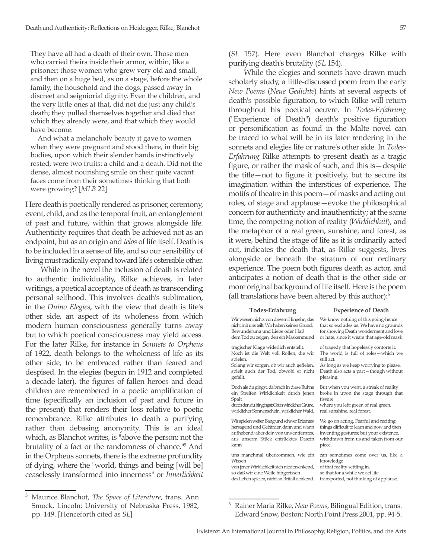They have all had a death of their own. Those men who carried theirs inside their armor, within, like a prisoner; those women who grew very old and small, and then on a huge bed, as on a stage, before the whole family, the household and the dogs, passed away in discreet and seigniorial dignity. Even the children, and the very little ones at that, did not die just any child's death; they pulled themselves together and died that which they already were, and that which they would have become.

And what a melancholy beauty it gave to women when they were pregnant and stood there, in their big bodies, upon which their slender hands instinctively rested, were two fruits: a child and a death. Did not the dense, almost nourishing smile on their quite vacant faces come from their sometimes thinking that both were growing? [*MLB* 22]

Here death is poetically rendered as prisoner, ceremony, event, child, and as the temporal fruit, an entanglement of past and future, within that grows alongside life. Authenticity requires that death be achieved not as an endpoint, but as an origin and *telos* of life itself. Death is to be included in a sense of life, and so our sensibility of living must radically expand toward life's ostensible other.

While in the novel the inclusion of death is related to authentic individuality, Rilke achieves, in later writings, a poetical acceptance of death as transcending personal selfhood. This involves death's sublimation, in the *Duino Elegies*, with the view that death is life's other side, an aspect of its wholeness from which modern human consciousness generally turns away but to which poetical consciousness may yield access. For the later Rilke, for instance in *Sonnets to Orpheus*  of 1922, death belongs to the wholeness of life as its other side, to be embraced rather than feared and despised. In the elegies (begun in 1912 and completed a decade later), the figures of fallen heroes and dead children are remembered in a poetic amplification of time (specifically an inclusion of past and future in the present) that renders their loss relative to poetic remembrance. Rilke attributes to death a purifying rather than debasing anonymity. This is an ideal which, as Blanchot writes, is "above the person: not the brutality of a fact or the randomness of chance."5 And in the Orpheus sonnets, there is the extreme profundity of dying, where the "world, things and being [will be] ceaselessly transformed into innerness" or *Innerlichkeit* 

(*SL* 157). Here even Blanchot charges Rilke with purifying death's brutality (*SL* 154).

While the elegies and sonnets have drawn much scholarly study, a little-discussed poem from the early *New Poems* (*Neue Gedichte*) hints at several aspects of death's possible figuration, to which Rilke will return throughout his poetical oeuvre. In *Todes-Erfahrung* ("Experience of Death") death's positive figuration or personification as found in the Malte novel can be traced to what will be in its later rendering in the sonnets and elegies life or nature's other side. In *Todes-Erfahrung* Rilke attempts to present death as a tragic figure, or rather the mask of such, and this is—despite the title—not to figure it positively, but to secure its imagination within the interstices of experience. The motifs of theatre in this poem—of masks and acting out roles, of stage and applause—evoke the philosophical concern for authenticity and inauthenticity; at the same time, the competing notion of reality (*Wirklichkeit*), and the metaphor of a real green, sunshine, and forest, as it were, behind the stage of life as it is ordinarily acted out, indicates the death that, as Rilke suggests, lives alongside or beneath the stratum of our ordinary experience. The poem both figures death as actor, and anticipates a notion of death that is the other side or more original background of life itself. Here is the poem (all translations have been altered by this author):6

| <b>Todes-Erfahrung</b>                         | <b>Experience of Death</b>                 |  |
|------------------------------------------------|--------------------------------------------|--|
| Wir wissen nichts von diesem Hingehn, das      | We know nothing of this going-hence        |  |
| nicht mit uns teilt. Wir haben keinen Grund,   | that so excludes us. We have no grounds    |  |
| Bewunderung und Liebe oder Haß                 | for showing Death wonderment and love      |  |
| dem Tod zu zeigen, den ein Maskenmund          | or hate, since it wears that age-old mask  |  |
| tragischer Klage widerlich entstellt.          | of tragedy that hopelessly contorts it.    |  |
| Noch ist die Welt voll Rollen, die wir         | The world is full of roles-which we        |  |
| spielen.                                       | still act.                                 |  |
| Solang wir sorgen, ob wir auch gefielen,       | As long as we keep worrying to please,     |  |
| spielt auch der Tod, obwohl er nicht           | Death also acts a part-though without      |  |
| gefällt.                                       | pleasing.                                  |  |
| Doch als du gingst, da brach in diese Bühne    | But when you went, a streak of reality     |  |
| ein Streifen Wirklichkeit durch jenen          | broke in upon the stage through that       |  |
| Spalt                                          | fissure                                    |  |
| durch den du hingingst: Grün wirklicher Grüne, | where you left: green of real green,       |  |
| wirklicher Sonnenschein, wirklicher Wald.      | real sunshine, real forest.                |  |
| Wir spielen weiter. Bang und schwer Erlerntes  | We go on acting. Fearful and reciting      |  |
| hersagend und Gebärden dann und wann           | things difficult to learn and now and then |  |
| aufhebend; aber dein von uns entferntes,       | inventing gestures; but your existence,    |  |
| aus unserm Stück entrücktes Dasein             | withdrawn from us and taken from our       |  |
| kann                                           | piece,                                     |  |
| uns manchmal überkommen, wie ein               | can sometimes come over us, like a         |  |
| Wissen                                         | knowledge                                  |  |
| von jener Wirklichkeit sich niedersenkend,     | of that reality settling in,               |  |
| so daß wir eine Weile hingerissen              | so that for a while we act life            |  |
| das Leben spielen, nicht an Beifall denkend.   | transported, not thinking of applause.     |  |

<sup>5</sup> Maurice Blanchot, *The Space of Literature*, trans. Ann Smock, Lincoln: University of Nebraska Press, 1982, pp. 149. [Henceforth cited as *SL*]

<sup>6</sup> Rainer Maria Rilke, *New Poems*, Bilingual Edition, trans. Edward Snow, Boston: North Point Press 2001, pp. 94-5.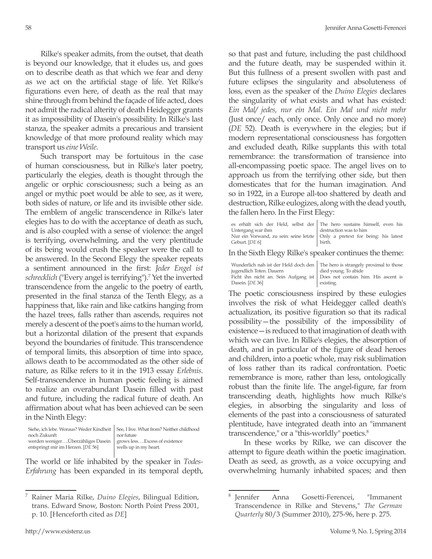Rilke's speaker admits, from the outset, that death is beyond our knowledge, that it eludes us, and goes on to describe death as that which we fear and deny as we act on the artificial stage of life. Yet Rilke's figurations even here, of death as the real that may shine through from behind the façade of life acted, does not admit the radical alterity of death Heidegger grants it as impossibility of Dasein's possibility. In Rilke's last stanza, the speaker admits a precarious and transient knowledge of that more profound reality which may transport us *eine Weile*.

Such transport may be fortuitous in the case of human consciousness, but in Rilke's later poetry, particularly the elegies, death is thought through the angelic or orphic consciousness; such a being as an angel or mythic poet would be able to see, as it were, both sides of nature, or life and its invisible other side. The emblem of angelic transcendence in Rilke's later elegies has to do with the acceptance of death as such, and is also coupled with a sense of violence: the angel is terrifying, overwhelming, and the very plentitude of its being would crush the speaker were the call to be answered. In the Second Elegy the speaker repeats a sentiment announced in the first: *Jeder Engel ist*  schrecklich ("Every angel is terrifying").<sup>7</sup> Yet the inverted transcendence from the angelic to the poetry of earth, presented in the final stanza of the Tenth Elegy, as a happiness that, like rain and like catkins hanging from the hazel trees, falls rather than ascends, requires not merely a descent of the poet's aims to the human world, but a horizontal dilation of the present that expands beyond the boundaries of finitude. This transcendence of temporal limits, this absorption of time into space, allows death to be accommodated as the other side of nature, as Rilke refers to it in the 1913 essay *Erlebnis*. Self-transcendence in human poetic feeling is aimed to realize an overabundant Dasein filled with past and future, including the radical future of death. An affirmation about what has been achieved can be seen in the Ninth Elegy:

|                                                                   | Siehe, ich lebe. Woraus? Weder Kindheit   See, I live. What from? Neither childhood |
|-------------------------------------------------------------------|-------------------------------------------------------------------------------------|
| noch Zukunft                                                      | nor future                                                                          |
| werden wenigerÜberzähliges Dasein   grows lessExcess of existence |                                                                                     |
| entspringt mir im Herzen. [DE 56]                                 | wells up in my heart.                                                               |

The world or life inhabited by the speaker in *Todes-Erfahrung* has been expanded in its temporal depth, so that past and future, including the past childhood and the future death, may be suspended within it. But this fullness of a present swollen with past and future eclipses the singularity and absoluteness of loss, even as the speaker of the *Duino Elegies* declares the singularity of what exists and what has existed: *Ein Mal/ jedes, nur ein Mal. Ein Mal und nicht mehr*  (Just once/ each, only once. Only once and no more) (*DE* 52). Death is everywhere in the elegies; but if modern representational consciousness has forgotten and excluded death, Rilke supplants this with total remembrance: the transformation of transience into all-encompassing poetic space. The angel lives on to approach us from the terrifying other side, but then domesticates that for the human imagination. And so in 1922, in a Europe all-too shattered by death and destruction, Rilke eulogizes, along with the dead youth, the fallen hero. In the First Elegy:

| es erhält sich der Held, selbst der The hero sustains himself, even his       |
|-------------------------------------------------------------------------------|
| destruction was to him                                                        |
| Nur ein Vorwand, zu sein: seine letzte   Only a pretext for being: his latest |
| birth.                                                                        |
|                                                                               |

In the Sixth Elegy Rilke's speaker continues the theme:

| Wunderlich nah ist der Held doch den   The hero is st |               |
|-------------------------------------------------------|---------------|
| jugendlich Toten. Dauern                              | died young. T |
| Ficht ihn nicht an. Sein Aufgang ist Does not cor     |               |
| Dasein. [DE 36]                                       | existing.     |

trangely proximal to those die in die volgensieden<br>Voorbiede ntain him. His ascent is  $\vert$  exis

The poetic consciousness inspired by these eulogies involves the risk of what Heidegger called death's actualization, its positive figuration so that its radical possibility—the possibility of the impossibility of existence—is reduced to that imagination of death with which we can live. In Rilke's elegies, the absorption of death, and in particular of the figure of dead heroes and children, into a poetic whole, may risk sublimation of loss rather than its radical confrontation. Poetic remembrance is more, rather than less, ontologically robust than the finite life. The angel-figure, far from transcending death, highlights how much Rilke's elegies, in absorbing the singularity and loss of elements of the past into a consciousness of saturated plentitude, have integrated death into an "immanent transcendence," or a "this-worldly" poetics.<sup>8</sup>

In these works by Rilke, we can discover the attempt to figure death within the poetic imagination. Death as seed, as growth, as a voice occupying and overwhelming humanly inhabited spaces; and then

<sup>7</sup> Rainer Maria Rilke, *Duino Elegies*, Bilingual Edition, trans. Edward Snow, Boston: North Point Press 2001, p. 10. [Henceforth cited as *DE*]

<sup>8</sup> Jennifer Anna Gosetti-Ferencei, "Immanent Transcendence in Rilke and Stevens," *The German Quarterly* 80/3 (Summer 2010), 275-96, here p. 275.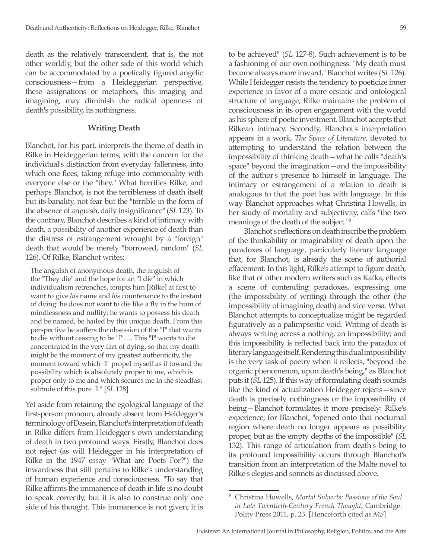death as the relatively transcendent, that is, the not other worldly, but the other side of this world which can be accommodated by a poetically figured angelic consciousness—from a Heideggerian perspective, these assignations or metaphors, this imaging and imagining, may diminish the radical openness of death's possibility, its nothingness.

### **Writing Death**

Blanchot, for his part, interprets the theme of death in Rilke in Heideggerian terms, with the concern for the individual's distinction from everyday fallenness, into which one flees, taking refuge into commonality with everyone else or the "they." What horrifies Rilke, and perhaps Blanchot, is not the terribleness of death itself but its banality, not fear but the "terrible in the form of the absence of anguish, daily insignificance" (*SL* 123). To the contrary, Blanchot describes a kind of intimacy with death, a possibility of another experience of death than the distress of estrangement wrought by a "foreign" death that would be merely "borrowed, random" (*SL* 126). Of Rilke, Blanchot writes:

The anguish of anonymous death, the anguish of the "They die" and the hope for an "I die" in which individualism retrenches, tempts him [Rilke] at first to want to give *his* name and *his* countenance to the instant of dying: he does not want to die like a fly in the hum of mindlessness and nullity; he wants to possess his death and be named, be hailed by this unique death. From this perspective he suffers the obsession of the "I" that wants to die without ceasing to be "I"…. This "I" wants to die concentrated in the very fact of dying, so that my death might be the moment of my greatest authenticity, the moment toward which "I" propel myself as if toward the possibility which is absolutely proper to me, which is proper only to me and which secures me in the steadfast solitude of this pure "I." [*SL* 128]

Yet aside from retaining the egological language of the first-person pronoun, already absent from Heidegger's terminology of Dasein, Blanchot's interpretation of death in Rilke differs from Heidegger's own understanding of death in two profound ways. Firstly, Blanchot does not reject (as will Heidegger in his interpretation of Rilke in the 1947 essay "What are Poets For?") the inwardness that still pertains to Rilke's understanding of human experience and consciousness. "To say that Rilke affirms the immanence of death in life is no doubt to speak correctly, but it is also to construe only one side of his thought. This immanence is not given; it is

to be achieved" (*SL* 127-8). Such achievement is to be a fashioning of our own nothingness: "My death must become always more inward," Blanchot writes (*SL* 126). While Heidegger resists the tendency to poeticize inner experience in favor of a more ecstatic and ontological structure of language, Rilke maintains the problem of consciousness in its open engagement with the world as his sphere of poetic investment. Blanchot accepts that Rilkean intimacy. Secondly, Blanchot's interpretation appears in a work, *The Space of Literature*, devoted to attempting to understand the relation between the impossibility of thinking death—what he calls "death's space" beyond the imagination—and the impossibility of the author's presence to himself in language. The intimacy or estrangement of a relation to death is analogous to that the poet has with language. In this way Blanchot approaches what Christina Howells, in her study of mortality and subjectivity, calls "the two meanings of the death of the subject."9

Blanchot's reflections on death inscribe the problem of the thinkability or imaginability of death upon the paradoxes of language, particularly literary language that, for Blanchot, is already the scene of authorial effacement. In this light, Rilke's attempt to figure death, like that of other modern writers such as Kafka, effects a scene of contending paradoxes, expressing one (the impossibility of writing) through the other (the impossibility of imagining death) and vice versa. What Blanchot attempts to conceptualize might be regarded figuratively as a palimpsestic void. Writing of death is always writing across a nothing, an impossibility; and this impossibility is reflected back into the paradox of literary language itself. Rendering this dual impossibility is the very task of poetry when it reflects, "beyond the organic phenomenon, upon death's being," as Blanchot puts it (*SL* 125). If this way of formulating death sounds like the kind of actualization Heidegger rejects—since death is precisely nothingness or the impossibility of being—Blanchot formulates it more precisely: Rilke's experience, for Blanchot, "opened onto that nocturnal region where death no longer appears as possibility proper, but as the empty depths of the impossible" (*SL* 132). This range of articulation from death's being to its profound impossibility occurs through Blanchot's transition from an interpretation of the Malte novel to Rilke's elegies and sonnets as discussed above.

<sup>9</sup> Christina Howells, *Mortal Subjects: Passions of the Soul in Late Twentieth-Century French Thought*, Cambridge: Polity Press 2011, p. 23. [Henceforth cited as *MS*]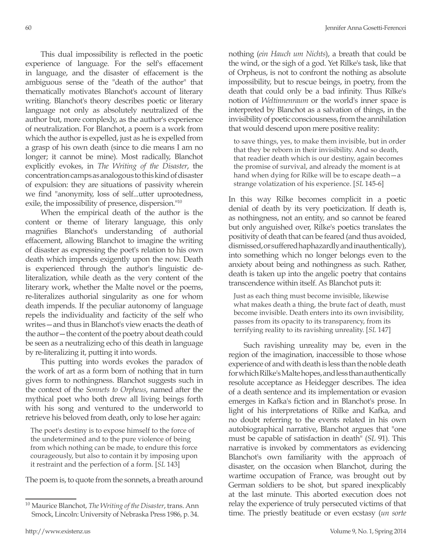This dual impossibility is reflected in the poetic experience of language. For the self's effacement in language, and the disaster of effacement is the ambiguous sense of the "death of the author" that thematically motivates Blanchot's account of literary writing. Blanchot's theory describes poetic or literary language not only as absolutely neutralized of the author but, more complexly, as the author's experience of neutralization. For Blanchot, a poem is a work from which the author is expelled, just as he is expelled from a grasp of his own death (since to die means I am no longer; it cannot be mine). Most radically, Blanchot explicitly evokes, in *The Writing of the Disaster*, the concentration camps as analogous to this kind of disaster of expulsion: they are situations of passivity wherein we find "anonymity, loss of self...utter uprootedness, exile, the impossibility of presence, dispersion."<sup>10</sup>

When the empirical death of the author is the content or theme of literary language, this only magnifies Blanchot's understanding of authorial effacement, allowing Blanchot to imagine the writing of disaster as expressing the poet's relation to his own death which impends exigently upon the now. Death is experienced through the author's linguistic deliteralization, while death as the very content of the literary work, whether the Malte novel or the poems, re-literalizes authorial singularity as one for whom death impends. If the peculiar autonomy of language repels the individuality and facticity of the self who writes—and thus in Blanchot's view enacts the death of the author—the content of the poetry about death could be seen as a neutralizing echo of this death in language by re-literalizing it, putting it into words.

This putting into words evokes the paradox of the work of art as a form born of nothing that in turn gives form to nothingness. Blanchot suggests such in the context of the *Sonnets to Orpheus*, named after the mythical poet who both drew all living beings forth with his song and ventured to the underworld to retrieve his beloved from death, only to lose her again:

The poet's destiny is to expose himself to the force of the undetermined and to the pure violence of being from which nothing can be made, to endure this force courageously, but also to contain it by imposing upon it restraint and the perfection of a form. [*SL* 143]

The poem is, to quote from the sonnets, a breath around

nothing (*ein Hauch um Nichts*), a breath that could be the wind, or the sigh of a god. Yet Rilke's task, like that of Orpheus, is not to confront the nothing as absolute impossibility, but to rescue beings, in poetry, from the death that could only be a bad infinity. Thus Rilke's notion of *Weltinnenraum* or the world's inner space is interpreted by Blanchot as a salvation of things, in the invisibility of poetic consciousness, from the annihilation that would descend upon mere positive reality:

to save things, yes, to make them invisible, but in order that they be reborn in their invisibility. And so death, that readier death which is our destiny, again becomes the promise of survival, and already the moment is at hand when dying for Rilke will be to escape death—a strange volatization of his experience. [*SL* 145-6]

In this way Rilke becomes complicit in a poetic denial of death by its very poeticization. If death is, as nothingness, not an entity, and so cannot be feared but only anguished over, Rilke's poetics translates the positivity of death that can be feared (and thus avoided, dismissed, or suffered haphazardly and inauthentically), into something which no longer belongs even to the anxiety about being and nothingness as such. Rather, death is taken up into the angelic poetry that contains transcendence within itself. As Blanchot puts it:

Just as each thing must become invisible, likewise what makes death a thing, the brute fact of death, must become invisible. Death enters into its own invisibility, passes from its opacity to its transparency, from its terrifying reality to its ravishing unreality. [*SL* 147]

Such ravishing unreality may be, even in the region of the imagination, inaccessible to those whose experience of and with death is less than the noble death for which Rilke's Malte hopes, and less than authentically resolute acceptance as Heidegger describes. The idea of a death sentence and its implementation or evasion emerges in Kafka's fiction and in Blanchot's prose. In light of his interpretations of Rilke and Kafka, and no doubt referring to the events related in his own autobiographical narrative, Blanchot argues that "one must be capable of satisfaction in death" (*SL* 91). This narrative is invoked by commentators as evidencing Blanchot's own familiarity with the approach of disaster, on the occasion when Blanchot, during the wartime occupation of France, was brought out by German soldiers to be shot, but spared inexplicably at the last minute. This aborted execution does not relay the experience of truly persecuted victims of that time. The priestly beatitude or even ecstasy (*un sorte* 

<sup>10</sup> Maurice Blanchot, *The Writing of the Disaster*, trans. Ann Smock, Lincoln: University of Nebraska Press 1986, p. 34.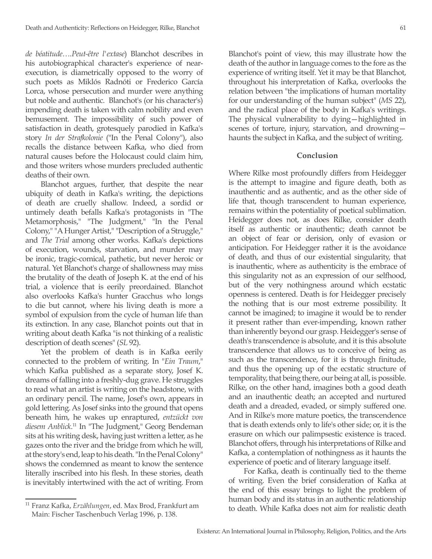*de béatitude….Peut-être l'extase*) Blanchot describes in his autobiographical character's experience of nearexecution, is diametrically opposed to the worry of such poets as Miklós Radnóti or Frederico García Lorca, whose persecution and murder were anything but noble and authentic. Blanchot's (or his character's) impending death is taken with calm nobility and even bemusement. The impossibility of such power of satisfaction in death, grotesquely parodied in Kafka's story *In der Strafkolonie* ("In the Penal Colony"), also recalls the distance between Kafka, who died from natural causes before the Holocaust could claim him, and those writers whose murders precluded authentic deaths of their own.

Blanchot argues, further, that despite the near ubiquity of death in Kafka's writing, the depictions of death are cruelly shallow. Indeed, a sordid or untimely death befalls Kafka's protagonists in "The Metamorphosis," "The Judgment," "In the Penal Colony," "A Hunger Artist," "Description of a Struggle," and *The Trial* among other works. Kafka's depictions of execution, wounds, starvation, and murder may be ironic, tragic-comical, pathetic, but never heroic or natural. Yet Blanchot's charge of shallowness may miss the brutality of the death of Joseph K. at the end of his trial, a violence that is eerily preordained. Blanchot also overlooks Kafka's hunter Gracchus who longs to die but cannot, where his living death is more a symbol of expulsion from the cycle of human life than its extinction. In any case, Blanchot points out that in writing about death Kafka "is not thinking of a realistic description of death scenes" (*SL* 92).

Yet the problem of death is in Kafka eerily connected to the problem of writing. In "*Ein Traum*," which Kafka published as a separate story, Josef K. dreams of falling into a freshly-dug grave. He struggles to read what an artist is writing on the headstone, with an ordinary pencil. The name, Josef's own, appears in gold lettering. As Josef sinks into the ground that opens beneath him, he wakes up enraptured, *entzückt von diesem Anblick*. 11 In "The Judgment," Georg Bendeman sits at his writing desk, having just written a letter, as he gazes onto the river and the bridge from which he will, at the story's end, leap to his death. "In the Penal Colony" shows the condemned as meant to know the sentence literally inscribed into his flesh. In these stories, death is inevitably intertwined with the act of writing. From

Blanchot's point of view, this may illustrate how the death of the author in language comes to the fore as the experience of writing itself. Yet it may be that Blanchot, throughout his interpretation of Kafka, overlooks the relation between "the implications of human mortality for our understanding of the human subject" (*MS* 22), and the radical place of the body in Kafka's writings. The physical vulnerability to dying—highlighted in scenes of torture, injury, starvation, and drowning haunts the subject in Kafka, and the subject of writing.

### **Conclusion**

Where Rilke most profoundly differs from Heidegger is the attempt to imagine and figure death, both as inauthentic and as authentic, and as the other side of life that, though transcendent to human experience, remains within the potentiality of poetical sublimation. Heidegger does not, as does Rilke, consider death itself as authentic or inauthentic; death cannot be an object of fear or derision, only of evasion or anticipation. For Heidegger rather it is the avoidance of death, and thus of our existential singularity, that is inauthentic, where as authenticity is the embrace of this singularity not as an expression of our selfhood, but of the very nothingness around which ecstatic openness is centered. Death is for Heidegger precisely the nothing that is our most extreme possibility. It cannot be imagined; to imagine it would be to render it present rather than ever-impending, known rather than inherently beyond our grasp. Heidegger's sense of death's transcendence is absolute, and it is this absolute transcendence that allows us to conceive of being as such as the transcendence, for it is through finitude, and thus the opening up of the ecstatic structure of temporality, that being there, our being at all, is possible. Rilke, on the other hand, imagines both a good death and an inauthentic death; an accepted and nurtured death and a dreaded, evaded, or simply suffered one. And in Rilke's more mature poetics, the transcendence that is death extends only to life's other side; or, it is the erasure on which our palimpsestic existence is traced. Blanchot offers, through his interpretations of Rilke and Kafka, a contemplation of nothingness as it haunts the experience of poetic and of literary language itself.

For Kafka, death is continually tied to the theme of writing. Even the brief consideration of Kafka at the end of this essay brings to light the problem of human body and its status in an authentic relationship to death. While Kafka does not aim for realistic death

<sup>11</sup> Franz Kafka, *Erzählungen*, ed. Max Brod, Frankfurt am Main: Fischer Taschenbuch Verlag 1996, p. 138.